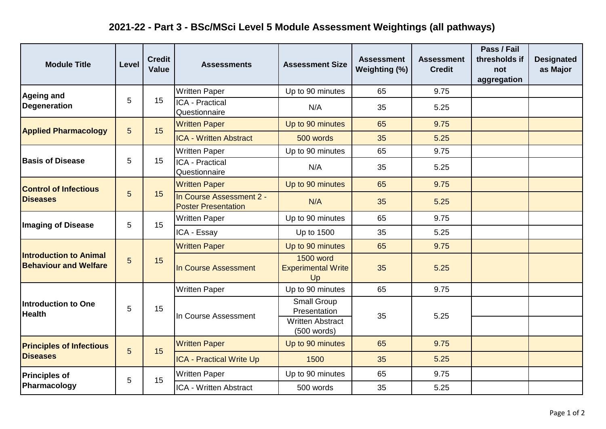## **2021-22 - Part 3 - BSc/MSci Level 5 Module Assessment Weightings (all pathways)**

| <b>Module Title</b>                                           | Level           | <b>Credit</b><br>Value | <b>Assessments</b>                                     | <b>Assessment Size</b>                              | <b>Assessment</b><br>Weighting (%) | <b>Assessment</b><br><b>Credit</b> | Pass / Fail<br>thresholds if<br>not<br>aggregation | <b>Designated</b><br>as Major |
|---------------------------------------------------------------|-----------------|------------------------|--------------------------------------------------------|-----------------------------------------------------|------------------------------------|------------------------------------|----------------------------------------------------|-------------------------------|
| <b>Ageing and</b><br><b>Degeneration</b>                      | 5               | 15                     | <b>Written Paper</b>                                   | Up to 90 minutes                                    | 65                                 | 9.75                               |                                                    |                               |
|                                                               |                 |                        | <b>ICA - Practical</b><br>Questionnaire                | N/A                                                 | 35                                 | 5.25                               |                                                    |                               |
| <b>Applied Pharmacology</b>                                   | $5\phantom{.0}$ | 15                     | <b>Written Paper</b>                                   | Up to 90 minutes                                    | 65                                 | 9.75                               |                                                    |                               |
|                                                               |                 |                        | <b>ICA - Written Abstract</b>                          | 500 words                                           | 35                                 | 5.25                               |                                                    |                               |
| <b>Basis of Disease</b>                                       | 5               | 15                     | <b>Written Paper</b>                                   | Up to 90 minutes                                    | 65                                 | 9.75                               |                                                    |                               |
|                                                               |                 |                        | <b>ICA - Practical</b><br>Questionnaire                | N/A                                                 | 35                                 | 5.25                               |                                                    |                               |
| <b>Control of Infectious</b><br><b>Diseases</b>               | 5               | 15                     | <b>Written Paper</b>                                   | Up to 90 minutes                                    | 65                                 | 9.75                               |                                                    |                               |
|                                                               |                 |                        | In Course Assessment 2 -<br><b>Poster Presentation</b> | N/A                                                 | 35                                 | 5.25                               |                                                    |                               |
| <b>Imaging of Disease</b>                                     | 5               | 15                     | <b>Written Paper</b>                                   | Up to 90 minutes                                    | 65                                 | 9.75                               |                                                    |                               |
|                                                               |                 |                        | ICA - Essay                                            | Up to 1500                                          | 35                                 | 5.25                               |                                                    |                               |
| <b>Introduction to Animal</b><br><b>Behaviour and Welfare</b> | 5               | 15                     | <b>Written Paper</b>                                   | Up to 90 minutes                                    | 65                                 | 9.75                               |                                                    |                               |
|                                                               |                 |                        | In Course Assessment                                   | <b>1500 word</b><br><b>Experimental Write</b><br>Up | 35                                 | 5.25                               |                                                    |                               |
| Introduction to One<br><b>Health</b>                          | 5               | 15                     | <b>Written Paper</b>                                   | Up to 90 minutes                                    | 65                                 | 9.75                               |                                                    |                               |
|                                                               |                 |                        | In Course Assessment                                   | Small Group<br>Presentation                         | 35                                 | 5.25                               |                                                    |                               |
|                                                               |                 |                        |                                                        | <b>Written Abstract</b><br>(500 words)              |                                    |                                    |                                                    |                               |
| <b>Principles of Infectious</b><br><b>Diseases</b>            | 5               | 15                     | <b>Written Paper</b>                                   | Up to 90 minutes                                    | 65                                 | 9.75                               |                                                    |                               |
|                                                               |                 |                        | <b>ICA - Practical Write Up</b>                        | 1500                                                | 35                                 | 5.25                               |                                                    |                               |
| <b>Principles of</b><br>Pharmacology                          | 5               | 15                     | <b>Written Paper</b>                                   | Up to 90 minutes                                    | 65                                 | 9.75                               |                                                    |                               |
|                                                               |                 |                        | ICA - Written Abstract                                 | 500 words                                           | 35                                 | 5.25                               |                                                    |                               |